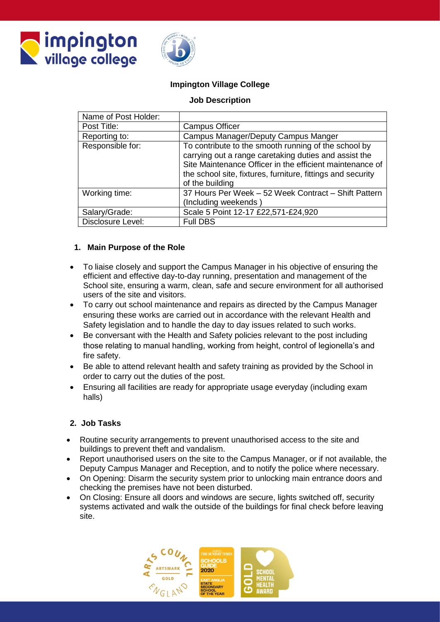



### **Impington Village College**

### **Job Description**

| Name of Post Holder: |                                                                                                                                                                                                                                                             |
|----------------------|-------------------------------------------------------------------------------------------------------------------------------------------------------------------------------------------------------------------------------------------------------------|
| Post Title:          | <b>Campus Officer</b>                                                                                                                                                                                                                                       |
| Reporting to:        | Campus Manager/Deputy Campus Manger                                                                                                                                                                                                                         |
| Responsible for:     | To contribute to the smooth running of the school by<br>carrying out a range caretaking duties and assist the<br>Site Maintenance Officer in the efficient maintenance of<br>the school site, fixtures, furniture, fittings and security<br>of the building |
| Working time:        | 37 Hours Per Week - 52 Week Contract - Shift Pattern<br>(Including weekends)                                                                                                                                                                                |
| Salary/Grade:        | Scale 5 Point 12-17 £22,571-£24,920                                                                                                                                                                                                                         |
| Disclosure Level:    | <b>Full DBS</b>                                                                                                                                                                                                                                             |

### **1. Main Purpose of the Role**

- To liaise closely and support the Campus Manager in his objective of ensuring the efficient and effective day-to-day running, presentation and management of the School site, ensuring a warm, clean, safe and secure environment for all authorised users of the site and visitors.
- To carry out school maintenance and repairs as directed by the Campus Manager ensuring these works are carried out in accordance with the relevant Health and Safety legislation and to handle the day to day issues related to such works.
- Be conversant with the Health and Safety policies relevant to the post including those relating to manual handling, working from height, control of legionella's and fire safety.
- Be able to attend relevant health and safety training as provided by the School in order to carry out the duties of the post.
- Ensuring all facilities are ready for appropriate usage everyday (including exam halls)

#### **2. Job Tasks**

- Routine security arrangements to prevent unauthorised access to the site and buildings to prevent theft and vandalism.
- Report unauthorised users on the site to the Campus Manager, or if not available, the Deputy Campus Manager and Reception, and to notify the police where necessary.
- On Opening: Disarm the security system prior to unlocking main entrance doors and checking the premises have not been disturbed.
- On Closing: Ensure all doors and windows are secure, lights switched off, security systems activated and walk the outside of the buildings for final check before leaving site.

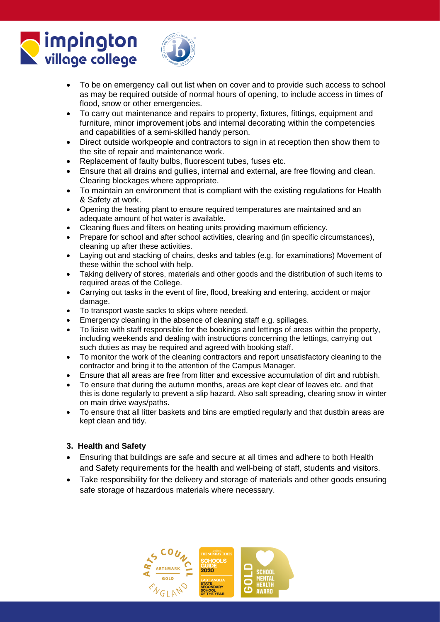# **Impington** village college



- To be on emergency call out list when on cover and to provide such access to school as may be required outside of normal hours of opening, to include access in times of flood, snow or other emergencies.
- To carry out maintenance and repairs to property, fixtures, fittings, equipment and furniture, minor improvement jobs and internal decorating within the competencies and capabilities of a semi-skilled handy person.
- Direct outside workpeople and contractors to sign in at reception then show them to the site of repair and maintenance work.
- Replacement of faulty bulbs, fluorescent tubes, fuses etc.
- Ensure that all drains and gullies, internal and external, are free flowing and clean. Clearing blockages where appropriate.
- To maintain an environment that is compliant with the existing regulations for Health & Safety at work.
- Opening the heating plant to ensure required temperatures are maintained and an adequate amount of hot water is available.
- Cleaning flues and filters on heating units providing maximum efficiency.
- Prepare for school and after school activities, clearing and (in specific circumstances), cleaning up after these activities.
- Laying out and stacking of chairs, desks and tables (e.g. for examinations) Movement of these within the school with help.
- Taking delivery of stores, materials and other goods and the distribution of such items to required areas of the College.
- Carrying out tasks in the event of fire, flood, breaking and entering, accident or major damage.
- To transport waste sacks to skips where needed.
- Emergency cleaning in the absence of cleaning staff e.g. spillages.
- To liaise with staff responsible for the bookings and lettings of areas within the property, including weekends and dealing with instructions concerning the lettings, carrying out such duties as may be required and agreed with booking staff.
- To monitor the work of the cleaning contractors and report unsatisfactory cleaning to the contractor and bring it to the attention of the Campus Manager.
- Ensure that all areas are free from litter and excessive accumulation of dirt and rubbish.
- To ensure that during the autumn months, areas are kept clear of leaves etc. and that this is done regularly to prevent a slip hazard. Also salt spreading, clearing snow in winter on main drive ways/paths.
- To ensure that all litter baskets and bins are emptied regularly and that dustbin areas are kept clean and tidy.

# **3. Health and Safety**

- Ensuring that buildings are safe and secure at all times and adhere to both Health and Safety requirements for the health and well-being of staff, students and visitors.
- Take responsibility for the delivery and storage of materials and other goods ensuring safe storage of hazardous materials where necessary.